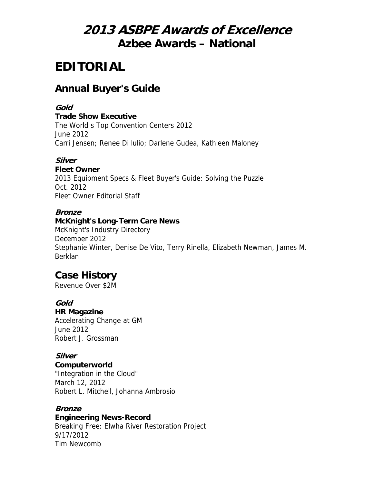# **2013 ASBPE Awards of Excellence Azbee Awards – National**

# **EDITORIAL**

# **Annual Buyer's Guide**

### **Gold**

**Trade Show Executive**

The World s Top Convention Centers 2012 June 2012 Carri Jensen; Renee Di lulio; Darlene Gudea, Kathleen Maloney

## **Silver**

**Fleet Owner** 2013 Equipment Specs & Fleet Buyer's Guide: Solving the Puzzle Oct. 2012 Fleet Owner Editorial Staff

### **Bronze**

**McKnight's Long-Term Care News** McKnight's Industry Directory December 2012 Stephanie Winter, Denise De Vito, Terry Rinella, Elizabeth Newman, James M. Berklan

# **Case History**

Revenue Over \$2M

## **Gold**

**HR Magazine** Accelerating Change at GM June 2012 Robert J. Grossman

## **Silver**

**Computerworld**

"Integration in the Cloud" March 12, 2012 Robert L. Mitchell, Johanna Ambrosio

## **Bronze**

## **Engineering News-Record**

Breaking Free: Elwha River Restoration Project 9/17/2012 Tim Newcomb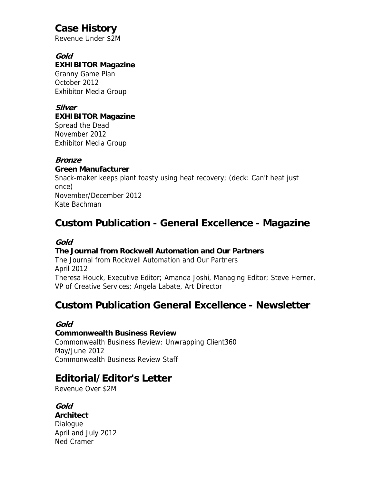# **Case History**

Revenue Under \$2M

#### **Gold EXHIBITOR Magazine**

Granny Game Plan October 2012 Exhibitor Media Group

#### **Silver EXHIBITOR Magazine**

Spread the Dead November 2012 Exhibitor Media Group

## **Bronze**

### **Green Manufacturer**

Snack-maker keeps plant toasty using heat recovery; (deck: Can't heat just once) November/December 2012 Kate Bachman

# **Custom Publication - General Excellence - Magazine**

## **Gold**

## **The Journal from Rockwell Automation and Our Partners**

The Journal from Rockwell Automation and Our Partners April 2012 Theresa Houck, Executive Editor; Amanda Joshi, Managing Editor; Steve Herner, VP of Creative Services; Angela Labate, Art Director

# **Custom Publication General Excellence - Newsletter**

## **Gold**

#### **Commonwealth Business Review**

Commonwealth Business Review: Unwrapping Client360 May/June 2012 Commonwealth Business Review Staff

# **Editorial/Editor's Letter**

Revenue Over \$2M

## **Gold**

**Architect Dialogue** April and July 2012 Ned Cramer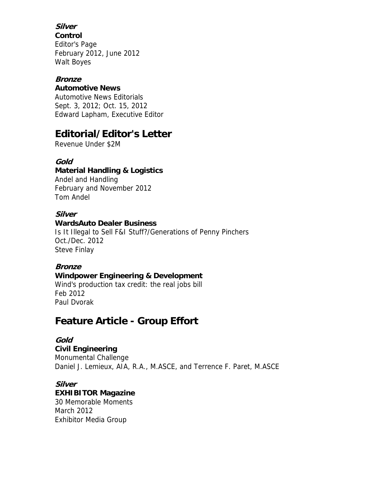## **Silver**

**Control** Editor's Page February 2012, June 2012 Walt Boyes

#### **Bronze**

#### **Automotive News**

Automotive News Editorials Sept. 3, 2012; Oct. 15, 2012 Edward Lapham, Executive Editor

# **Editorial/Editor's Letter**

Revenue Under \$2M

## **Gold**

### **Material Handling & Logistics**

Andel and Handling February and November 2012 Tom Andel

#### **Silver**

#### **WardsAuto Dealer Business**

Is It Illegal to Sell F&I Stuff?/Generations of Penny Pinchers Oct./Dec. 2012 Steve Finlay

#### **Bronze**

#### **Windpower Engineering & Development**

Wind's production tax credit: the real jobs bill Feb 2012 Paul Dvorak

# **Feature Article - Group Effort**

#### **Gold**

**Civil Engineering** Monumental Challenge Daniel J. Lemieux, AIA, R.A., M.ASCE, and Terrence F. Paret, M.ASCE

## **Silver**

## **EXHIBITOR Magazine**

30 Memorable Moments March 2012 Exhibitor Media Group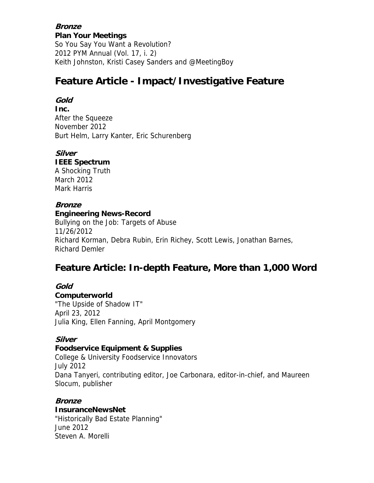**Bronze Plan Your Meetings** So You Say You Want a Revolution? 2012 PYM Annual (Vol. 17, i. 2) Keith Johnston, Kristi Casey Sanders and @MeetingBoy

## **Feature Article - Impact/Investigative Feature**

### **Gold**

**Inc.** After the Squeeze November 2012 Burt Helm, Larry Kanter, Eric Schurenberg

#### **Silver**

**IEEE Spectrum** A Shocking Truth March 2012 Mark Harris

#### **Bronze**

#### **Engineering News-Record**

Bullying on the Job: Targets of Abuse 11/26/2012 Richard Korman, Debra Rubin, Erin Richey, Scott Lewis, Jonathan Barnes, Richard Demler

## **Feature Article: In-depth Feature, More than 1,000 Word**

#### **Gold**

**Computerworld** "The Upside of Shadow IT" April 23, 2012 Julia King, Ellen Fanning, April Montgomery

#### **Silver**

#### **Foodservice Equipment & Supplies**

College & University Foodservice Innovators July 2012 Dana Tanyeri, contributing editor, Joe Carbonara, editor-in-chief, and Maureen Slocum, publisher

#### **Bronze**

**InsuranceNewsNet** "Historically Bad Estate Planning" June 2012 Steven A. Morelli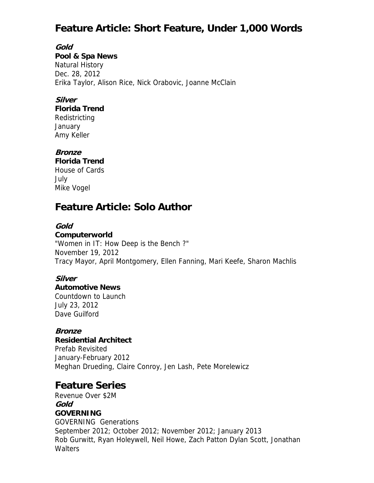# **Feature Article: Short Feature, Under 1,000 Words**

**Gold Pool & Spa News** Natural History Dec. 28, 2012 Erika Taylor, Alison Rice, Nick Orabovic, Joanne McClain

### **Silver**

**Florida Trend** Redistricting **January** Amy Keller

#### **Bronze**

**Florida Trend** House of Cards July Mike Vogel

# **Feature Article: Solo Author**

#### **Gold**

**Computerworld** "Women in IT: How Deep is the Bench ?" November 19, 2012 Tracy Mayor, April Montgomery, Ellen Fanning, Mari Keefe, Sharon Machlis

#### **Silver**

**Automotive News** Countdown to Launch July 23, 2012 Dave Guilford

#### **Bronze**

**Residential Architect** Prefab Revisited

January-February 2012 Meghan Drueding, Claire Conroy, Jen Lash, Pete Morelewicz

# **Feature Series**

Revenue Over \$2M **Gold GOVERNING** GOVERNING Generations September 2012; October 2012; November 2012; January 2013 Rob Gurwitt, Ryan Holeywell, Neil Howe, Zach Patton Dylan Scott, Jonathan **Walters**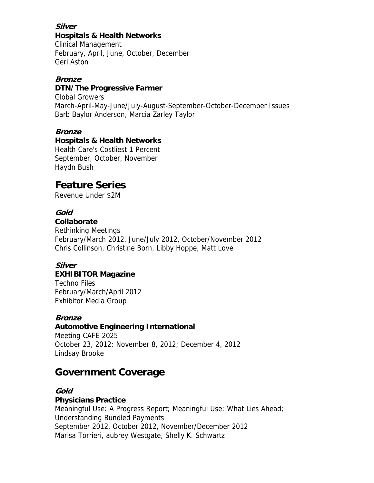#### **Silver Hospitals & Health Networks**

Clinical Management February, April, June, October, December Geri Aston

## **Bronze**

### **DTN/The Progressive Farmer**

Global Growers March-April-May-June/July-August-September-October-December Issues Barb Baylor Anderson, Marcia Zarley Taylor

### **Bronze**

#### **Hospitals & Health Networks**

Health Care's Costliest 1 Percent September, October, November Haydn Bush

# **Feature Series**

Revenue Under \$2M

## **Gold**

**Collaborate** Rethinking Meetings

February/March 2012, June/July 2012, October/November 2012 Chris Collinson, Christine Born, Libby Hoppe, Matt Love

# **Silver**

## **EXHIBITOR Magazine**

Techno Files February/March/April 2012 Exhibitor Media Group

#### **Bronze**

#### **Automotive Engineering International**

Meeting CAFE 2025 October 23, 2012; November 8, 2012; December 4, 2012 Lindsay Brooke

## **Government Coverage**

## **Gold**

## **Physicians Practice**

Meaningful Use: A Progress Report; Meaningful Use: What Lies Ahead; Understanding Bundled Payments September 2012, October 2012, November/December 2012 Marisa Torrieri, aubrey Westgate, Shelly K. Schwartz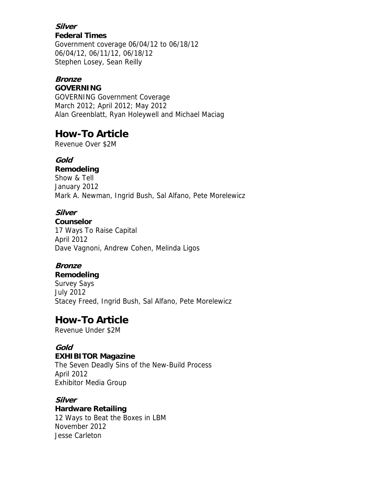#### **Silver Federal Times**

Government coverage 06/04/12 to 06/18/12 06/04/12, 06/11/12, 06/18/12 Stephen Losey, Sean Reilly

## **Bronze**

#### **GOVERNING**

GOVERNING Government Coverage March 2012; April 2012; May 2012 Alan Greenblatt, Ryan Holeywell and Michael Maciag

# **How-To Article**

Revenue Over \$2M

## **Gold**

**Remodeling** Show & Tell January 2012 Mark A. Newman, Ingrid Bush, Sal Alfano, Pete Morelewicz

## **Silver**

**Counselor** 17 Ways To Raise Capital April 2012 Dave Vagnoni, Andrew Cohen, Melinda Ligos

## **Bronze**

#### **Remodeling**

Survey Says July 2012 Stacey Freed, Ingrid Bush, Sal Alfano, Pete Morelewicz

# **How-To Article**

Revenue Under \$2M

## **Gold**

#### **EXHIBITOR Magazine**

The Seven Deadly Sins of the New-Build Process April 2012 Exhibitor Media Group

## **Silver**

## **Hardware Retailing**

12 Ways to Beat the Boxes in LBM November 2012 Jesse Carleton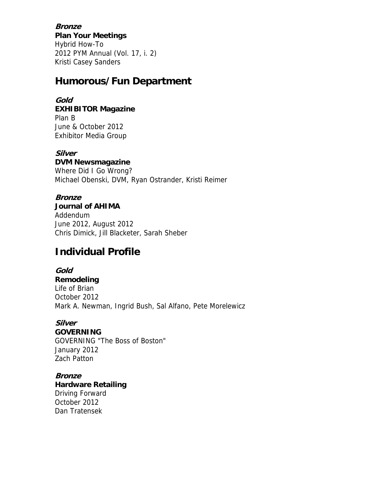**Bronze Plan Your Meetings** Hybrid How-To 2012 PYM Annual (Vol. 17, i. 2) Kristi Casey Sanders

## **Humorous/Fun Department**

## **Gold**

**EXHIBITOR Magazine** Plan B June & October 2012 Exhibitor Media Group

## **Silver**

**DVM Newsmagazine**

Where Did I Go Wrong? Michael Obenski, DVM, Ryan Ostrander, Kristi Reimer

### **Bronze**

**Journal of AHIMA** Addendum June 2012, August 2012 Chris Dimick, Jill Blacketer, Sarah Sheber

# **Individual Profile**

**Gold Remodeling** Life of Brian October 2012 Mark A. Newman, Ingrid Bush, Sal Alfano, Pete Morelewicz

#### **Silver GOVERNING** GOVERNING "The Boss of Boston" January 2012 Zach Patton

**Bronze Hardware Retailing** Driving Forward October 2012 Dan Tratensek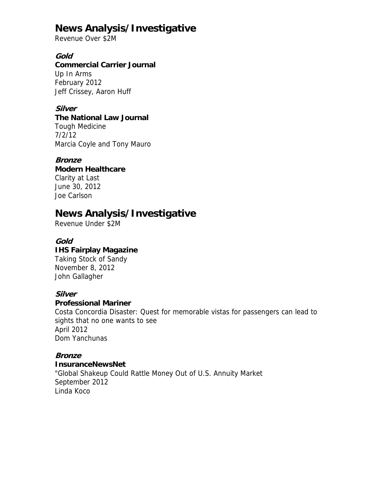# **News Analysis/Investigative**

Revenue Over \$2M

#### **Gold**

#### **Commercial Carrier Journal**

Up In Arms February 2012 Jeff Crissey, Aaron Huff

## **Silver**

### **The National Law Journal**

Tough Medicine 7/2/12 Marcia Coyle and Tony Mauro

#### **Bronze**

## **Modern Healthcare**

Clarity at Last June 30, 2012 Joe Carlson

## **News Analysis/Investigative**

Revenue Under \$2M

### **Gold**

#### **IHS Fairplay Magazine**

Taking Stock of Sandy November 8, 2012 John Gallagher

#### **Silver**

#### **Professional Mariner**

Costa Concordia Disaster: Quest for memorable vistas for passengers can lead to sights that no one wants to see April 2012 Dom Yanchunas

#### **Bronze**

#### **InsuranceNewsNet**

"Global Shakeup Could Rattle Money Out of U.S. Annuity Market September 2012 Linda Koco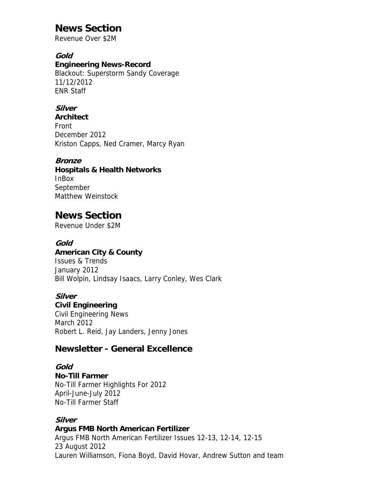# **News Section**

Revenue Over \$2M

#### **Gold**

#### **Engineering News-Record**

Blackout: Superstorm Sandy Coverage 11/12/2012 ENR Staff

## **Silver**

**Architect** Front December 2012 Kriston Capps, Ned Cramer, Marcy Ryan

### **Bronze**

#### **Hospitals & Health Networks** InBox September Matthew Weinstock

## **News Section**

Revenue Under \$2M

#### **Gold**

**American City & County** Issues & Trends January 2012 Bill Wolpin, Lindsay Isaacs, Larry Conley, Wes Clark

#### **Silver**

#### **Civil Engineering**

Civil Engineering News March 2012 Robert L. Reid, Jay Landers, Jenny Jones

## **Newsletter - General Excellence**

#### **Gold**

#### **No-Till Farmer**

No-Till Farmer Highlights For 2012 April-June-July 2012 No-Till Farmer Staff

#### **Silver**

#### **Argus FMB North American Fertilizer** Argus FMB North American Fertilizer Issues 12-13, 12-14, 12-15 23 August 2012 Lauren Williamson, Fiona Boyd, David Hovar, Andrew Sutton and team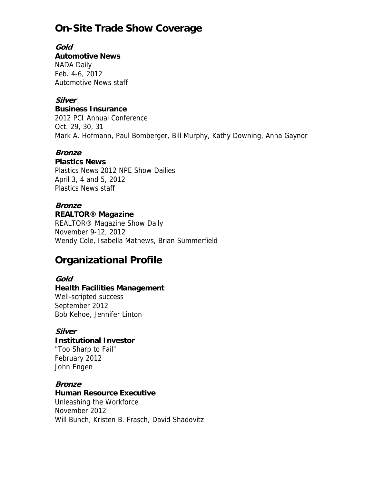# **On-Site Trade Show Coverage**

**Gold Automotive News** NADA Daily Feb. 4-6, 2012 Automotive News staff

## **Silver**

**Business Insurance**

2012 PCI Annual Conference Oct. 29, 30, 31 Mark A. Hofmann, Paul Bomberger, Bill Murphy, Kathy Downing, Anna Gaynor

#### **Bronze**

#### **Plastics News**

Plastics News 2012 NPE Show Dailies April 3, 4 and 5, 2012 Plastics News staff

### **Bronze**

#### **REALTOR® Magazine**

REALTOR® Magazine Show Daily November 9-12, 2012 Wendy Cole, Isabella Mathews, Brian Summerfield

# **Organizational Profile**

#### **Gold**

## **Health Facilities Management**

Well-scripted success September 2012 Bob Kehoe, Jennifer Linton

#### **Silver**

## **Institutional Investor**

"Too Sharp to Fail" February 2012 John Engen

#### **Bronze**

#### **Human Resource Executive**

Unleashing the Workforce November 2012 Will Bunch, Kristen B. Frasch, David Shadovitz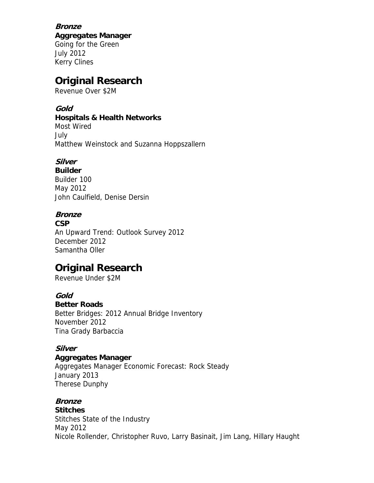**Bronze Aggregates Manager** Going for the Green July 2012 Kerry Clines

# **Original Research**

Revenue Over \$2M

## **Gold**

#### **Hospitals & Health Networks**

Most Wired July Matthew Weinstock and Suzanna Hoppszallern

## **Silver**

**Builder** Builder 100 May 2012 John Caulfield, Denise Dersin

## **Bronze**

**CSP**

An Upward Trend: Outlook Survey 2012 December 2012 Samantha Oller

# **Original Research**

Revenue Under \$2M

## **Gold**

#### **Better Roads**

Better Bridges: 2012 Annual Bridge Inventory November 2012 Tina Grady Barbaccia

## **Silver**

#### **Aggregates Manager**

Aggregates Manager Economic Forecast: Rock Steady January 2013 Therese Dunphy

## **Bronze**

**Stitches** Stitches State of the Industry May 2012 Nicole Rollender, Christopher Ruvo, Larry Basinait, Jim Lang, Hillary Haught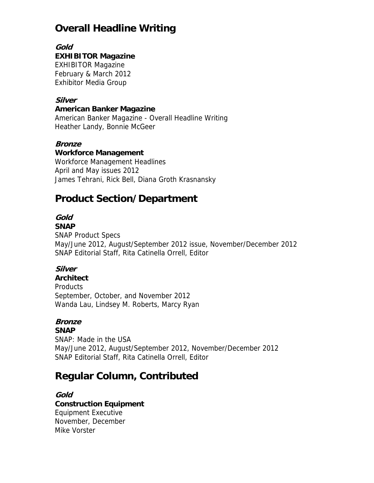# **Overall Headline Writing**

#### **Gold**

### **EXHIBITOR Magazine**

EXHIBITOR Magazine February & March 2012 Exhibitor Media Group

## **Silver**

#### **American Banker Magazine**

American Banker Magazine - Overall Headline Writing Heather Landy, Bonnie McGeer

### **Bronze**

#### **Workforce Management**

Workforce Management Headlines April and May issues 2012 James Tehrani, Rick Bell, Diana Groth Krasnansky

# **Product Section/Department**

# **Gold**

### **SNAP**

SNAP Product Specs May/June 2012, August/September 2012 issue, November/December 2012 SNAP Editorial Staff, Rita Catinella Orrell, Editor

## **Silver**

### **Architect** Products September, October, and November 2012 Wanda Lau, Lindsey M. Roberts, Marcy Ryan

## **Bronze**

**SNAP** SNAP: Made in the USA May/June 2012, August/September 2012, November/December 2012 SNAP Editorial Staff, Rita Catinella Orrell, Editor

# **Regular Column, Contributed**

#### **Gold**

## **Construction Equipment**

Equipment Executive November, December Mike Vorster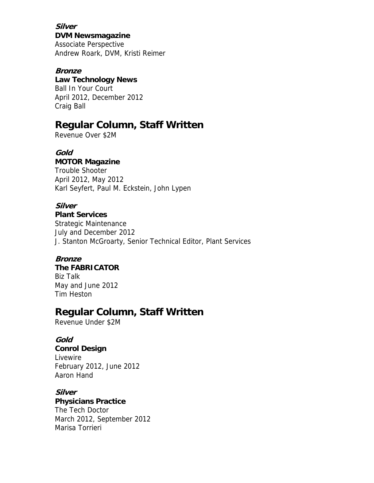**Silver DVM Newsmagazine** Associate Perspective Andrew Roark, DVM, Kristi Reimer

#### **Bronze Law Technology News** Ball In Your Court April 2012, December 2012 Craig Ball

## **Regular Column, Staff Written**

Revenue Over \$2M

**Gold MOTOR Magazine** Trouble Shooter

April 2012, May 2012 Karl Seyfert, Paul M. Eckstein, John Lypen

## **Silver**

**Plant Services** Strategic Maintenance July and December 2012 J. Stanton McGroarty, Senior Technical Editor, Plant Services

## **Bronze**

**The FABRICATOR** Biz Talk May and June 2012 Tim Heston

# **Regular Column, Staff Written**

Revenue Under \$2M

## **Gold**

**Conrol Design** Livewire February 2012, June 2012 Aaron Hand

## **Silver**

**Physicians Practice** The Tech Doctor March 2012, September 2012 Marisa Torrieri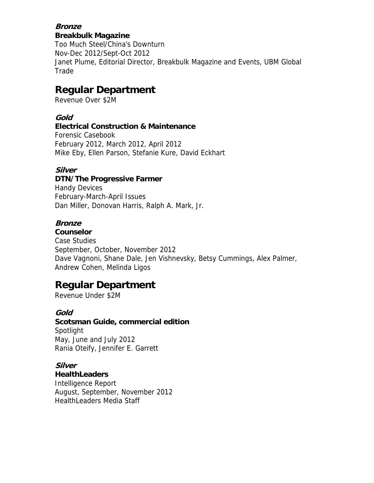#### **Bronze Breakbulk Magazine**

Too Much Steel/China's Downturn Nov-Dec 2012/Sept-Oct 2012 Janet Plume, Editorial Director, Breakbulk Magazine and Events, UBM Global Trade

# **Regular Department**

Revenue Over \$2M

## **Gold**

#### **Electrical Construction & Maintenance**

Forensic Casebook February 2012, March 2012, April 2012 Mike Eby, Ellen Parson, Stefanie Kure, David Eckhart

### **Silver**

### **DTN/The Progressive Farmer**

Handy Devices February-March-April Issues Dan Miller, Donovan Harris, Ralph A. Mark, Jr.

### **Bronze**

**Counselor** Case Studies September, October, November 2012 Dave Vagnoni, Shane Dale, Jen Vishnevsky, Betsy Cummings, Alex Palmer, Andrew Cohen, Melinda Ligos

# **Regular Department**

Revenue Under \$2M

#### **Gold**

**Scotsman Guide, commercial edition Spotlight** May, June and July 2012 Rania Oteify, Jennifer E. Garrett

## **Silver**

**HealthLeaders** Intelligence Report August, September, November 2012 HealthLeaders Media Staff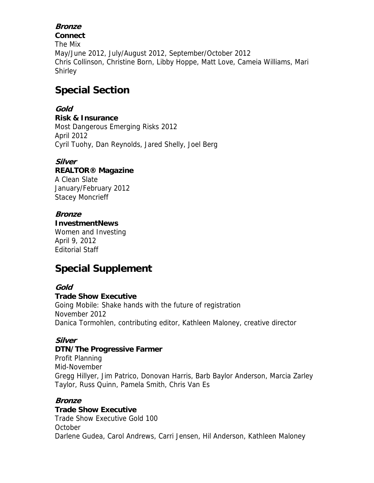## **Bronze**

**Connect** The Mix May/June 2012, July/August 2012, September/October 2012 Chris Collinson, Christine Born, Libby Hoppe, Matt Love, Cameia Williams, Mari Shirley

# **Special Section**

## **Gold**

**Risk & Insurance** Most Dangerous Emerging Risks 2012 April 2012 Cyril Tuohy, Dan Reynolds, Jared Shelly, Joel Berg

### **Silver**

### **REALTOR® Magazine**

A Clean Slate January/February 2012 Stacey Moncrieff

### **Bronze**

#### **InvestmentNews**

Women and Investing April 9, 2012 Editorial Staff

# **Special Supplement**

#### **Gold**

#### **Trade Show Executive**

Going Mobile: Shake hands with the future of registration November 2012 Danica Tormohlen, contributing editor, Kathleen Maloney, creative director

## **Silver**

#### **DTN/The Progressive Farmer**

Profit Planning Mid-November Gregg Hillyer, Jim Patrico, Donovan Harris, Barb Baylor Anderson, Marcia Zarley Taylor, Russ Quinn, Pamela Smith, Chris Van Es

#### **Bronze**

#### **Trade Show Executive**

Trade Show Executive Gold 100 October Darlene Gudea, Carol Andrews, Carri Jensen, Hil Anderson, Kathleen Maloney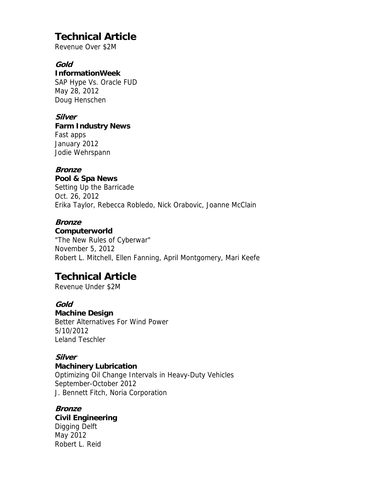# **Technical Article**

Revenue Over \$2M

## **Gold**

**InformationWeek** SAP Hype Vs. Oracle FUD May 28, 2012 Doug Henschen

## **Silver**

#### **Farm Industry News**

Fast apps January 2012 Jodie Wehrspann

### **Bronze**

**Pool & Spa News** Setting Up the Barricade Oct. 26, 2012 Erika Taylor, Rebecca Robledo, Nick Orabovic, Joanne McClain

## **Bronze**

**Computerworld**

"The New Rules of Cyberwar" November 5, 2012 Robert L. Mitchell, Ellen Fanning, April Montgomery, Mari Keefe

# **Technical Article**

Revenue Under \$2M

#### **Gold**

**Machine Design**

Better Alternatives For Wind Power 5/10/2012 Leland Teschler

## **Silver**

#### **Machinery Lubrication**

Optimizing Oil Change Intervals in Heavy-Duty Vehicles September-October 2012 J. Bennett Fitch, Noria Corporation

## **Bronze**

#### **Civil Engineering**

Digging Delft May 2012 Robert L. Reid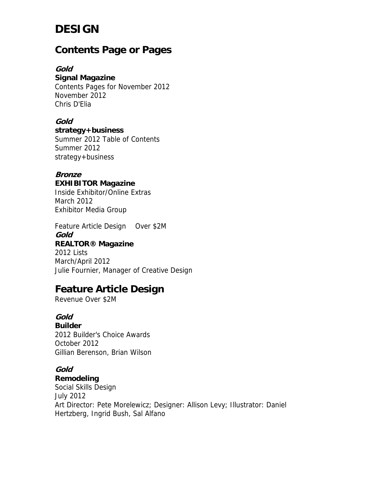# **DESIGN**

## **Contents Page or Pages**

#### **Gold**

#### **Signal Magazine**

Contents Pages for November 2012 November 2012 Chris D'Elia

#### **Gold**

**strategy+business**

Summer 2012 Table of Contents Summer 2012 strategy+business

## **Bronze**

#### **EXHIBITOR Magazine**

Inside Exhibitor/Online Extras March 2012 Exhibitor Media Group

Feature Article Design Over \$2M **Gold REALTOR® Magazine** 2012 Lists March/April 2012 Julie Fournier, Manager of Creative Design

# **Feature Article Design**

Revenue Over \$2M

## **Gold**

**Builder** 2012 Builder's Choice Awards October 2012 Gillian Berenson, Brian Wilson

## **Gold**

**Remodeling**

Social Skills Design July 2012 Art Director: Pete Morelewicz; Designer: Allison Levy; Illustrator: Daniel Hertzberg, Ingrid Bush, Sal Alfano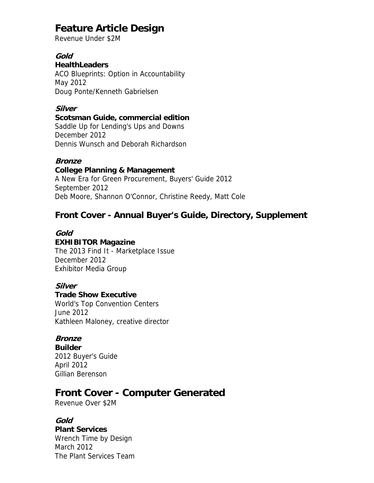# **Feature Article Design**

Revenue Under \$2M

#### **Gold**

#### **HealthLeaders**

ACO Blueprints: Option in Accountability May 2012 Doug Ponte/Kenneth Gabrielsen

## **Silver**

#### **Scotsman Guide, commercial edition**

Saddle Up for Lending's Ups and Downs December 2012 Dennis Wunsch and Deborah Richardson

#### **Bronze**

**College Planning & Management** A New Era for Green Procurement, Buyers' Guide 2012 September 2012 Deb Moore, Shannon O'Connor, Christine Reedy, Matt Cole

## **Front Cover - Annual Buyer's Guide, Directory, Supplement**

#### **Gold EXHIBITOR Magazine**

The 2013 Find It - Marketplace Issue December 2012 Exhibitor Media Group

## **Silver**

#### **Trade Show Executive**

World's Top Convention Centers June 2012 Kathleen Maloney, creative director

#### **Bronze**

**Builder** 2012 Buyer's Guide April 2012 Gillian Berenson

## **Front Cover - Computer Generated**

Revenue Over \$2M

## **Gold**

**Plant Services** Wrench Time by Design March 2012 The Plant Services Team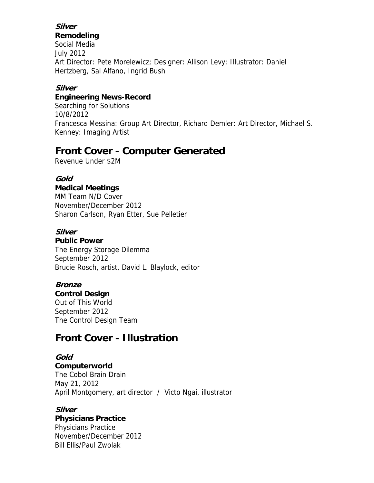## **Silver**

#### **Remodeling**

Social Media July 2012 Art Director: Pete Morelewicz; Designer: Allison Levy; Illustrator: Daniel Hertzberg, Sal Alfano, Ingrid Bush

### **Silver**

#### **Engineering News-Record**

Searching for Solutions 10/8/2012 Francesca Messina: Group Art Director, Richard Demler: Art Director, Michael S. Kenney: Imaging Artist

## **Front Cover - Computer Generated**

Revenue Under \$2M

### **Gold**

#### **Medical Meetings**

MM Team N/D Cover November/December 2012 Sharon Carlson, Ryan Etter, Sue Pelletier

#### **Silver**

#### **Public Power**

The Energy Storage Dilemma September 2012 Brucie Rosch, artist, David L. Blaylock, editor

## **Bronze**

#### **Control Design**

Out of This World September 2012 The Control Design Team

# **Front Cover - Illustration**

#### **Gold**

**Computerworld**

The Cobol Brain Drain May 21, 2012 April Montgomery, art director / Victo Ngai, illustrator

## **Silver**

# **Physicians Practice**

Physicians Practice November/December 2012 Bill Ellis/Paul Zwolak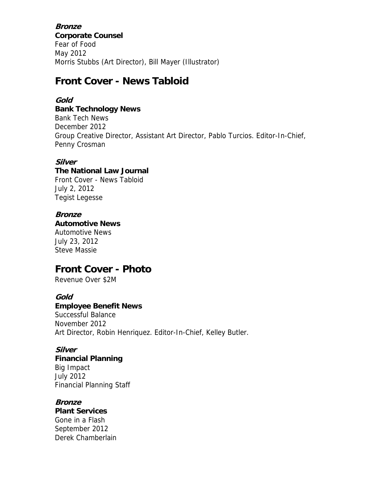**Bronze Corporate Counsel** Fear of Food May 2012 Morris Stubbs (Art Director), Bill Mayer (Illustrator)

## **Front Cover - News Tabloid**

### **Gold**

#### **Bank Technology News**

Bank Tech News December 2012 Group Creative Director, Assistant Art Director, Pablo Turcios. Editor-In-Chief, Penny Crosman

#### **Silver**

## **The National Law Journal**

Front Cover - News Tabloid July 2, 2012 Tegist Legesse

## **Bronze**

**Automotive News**

Automotive News July 23, 2012 Steve Massie

# **Front Cover - Photo**

Revenue Over \$2M

#### **Gold**

#### **Employee Benefit News**

Successful Balance November 2012 Art Director, Robin Henriquez. Editor-In-Chief, Kelley Butler.

#### **Silver**

#### **Financial Planning**

Big Impact July 2012 Financial Planning Staff

#### **Bronze**

**Plant Services** Gone in a Flash September 2012 Derek Chamberlain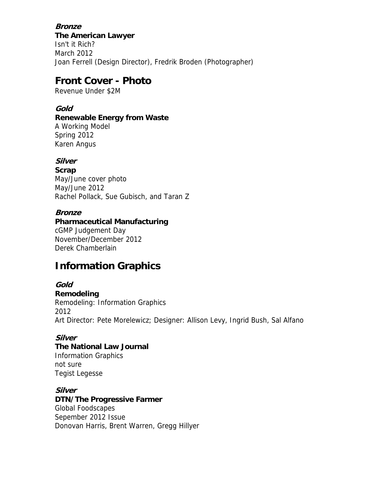#### **Bronze**

**The American Lawyer** Isn't it Rich? March 2012 Joan Ferrell (Design Director), Fredrik Broden (Photographer)

## **Front Cover - Photo**

Revenue Under \$2M

### **Gold**

#### **Renewable Energy from Waste**

A Working Model Spring 2012 Karen Angus

## **Silver**

**Scrap** May/June cover photo May/June 2012 Rachel Pollack, Sue Gubisch, and Taran Z

#### **Bronze**

## **Pharmaceutical Manufacturing** cGMP Judgement Day

November/December 2012 Derek Chamberlain

# **Information Graphics**

#### **Gold**

**Remodeling**

Remodeling: Information Graphics 2012 Art Director: Pete Morelewicz; Designer: Allison Levy, Ingrid Bush, Sal Alfano

## **Silver**

# **The National Law Journal**

Information Graphics not sure Tegist Legesse

## **Silver**

**DTN/The Progressive Farmer** Global Foodscapes Sepember 2012 Issue Donovan Harris, Brent Warren, Gregg Hillyer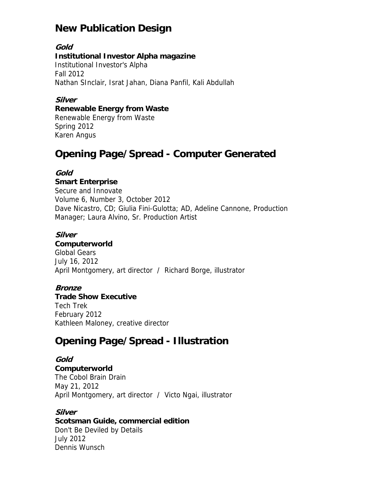# **New Publication Design**

**Gold Institutional Investor Alpha magazine** Institutional Investor's Alpha Fall 2012 Nathan SInclair, Israt Jahan, Diana Panfil, Kali Abdullah

### **Silver**

#### **Renewable Energy from Waste**

Renewable Energy from Waste Spring 2012 Karen Angus

# **Opening Page/Spread - Computer Generated**

#### **Gold**

#### **Smart Enterprise**

Secure and Innovate Volume 6, Number 3, October 2012 Dave Nicastro, CD; Giulia Fini-Gulotta; AD, Adeline Cannone, Production Manager; Laura Alvino, Sr. Production Artist

#### **Silver**

#### **Computerworld**

Global Gears July 16, 2012 April Montgomery, art director / Richard Borge, illustrator

#### **Bronze**

#### **Trade Show Executive**

Tech Trek February 2012 Kathleen Maloney, creative director

## **Opening Page/Spread - Illustration**

### **Gold Computerworld** The Cobol Brain Drain May 21, 2012 April Montgomery, art director / Victo Ngai, illustrator

## **Silver**

#### **Scotsman Guide, commercial edition**

Don't Be Deviled by Details July 2012 Dennis Wunsch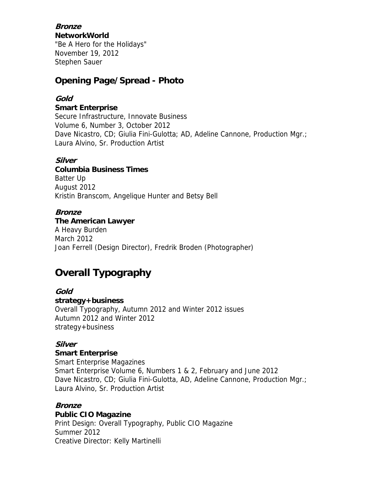**Bronze NetworkWorld**

"Be A Hero for the Holidays" November 19, 2012 Stephen Sauer

## **Opening Page/Spread - Photo**

### **Gold**

**Smart Enterprise**

Secure Infrastructure, Innovate Business Volume 6, Number 3, October 2012 Dave Nicastro, CD; Giulia Fini-Gulotta; AD, Adeline Cannone, Production Mgr.; Laura Alvino, Sr. Production Artist

#### **Silver**

**Columbia Business Times** Batter Up August 2012 Kristin Branscom, Angelique Hunter and Betsy Bell

#### **Bronze**

**The American Lawyer** A Heavy Burden March 2012 Joan Ferrell (Design Director), Fredrik Broden (Photographer)

# **Overall Typography**

**Gold strategy+business** Overall Typography, Autumn 2012 and Winter 2012 issues Autumn 2012 and Winter 2012 strategy+business

#### **Silver**

#### **Smart Enterprise**

Smart Enterprise Magazines Smart Enterprise Volume 6, Numbers 1 & 2, February and June 2012 Dave Nicastro, CD; Giulia Fini-Gulotta, AD, Adeline Cannone, Production Mgr.; Laura Alvino, Sr. Production Artist

#### **Bronze**

#### **Public CIO Magazine**

Print Design: Overall Typography, Public CIO Magazine Summer 2012 Creative Director: Kelly Martinelli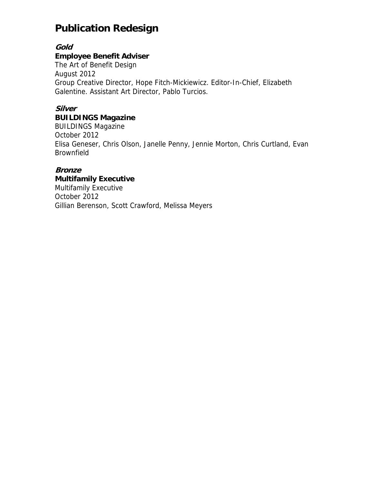# **Publication Redesign**

**Gold** 

### **Employee Benefit Adviser**

The Art of Benefit Design August 2012 Group Creative Director, Hope Fitch-Mickiewicz. Editor-In-Chief, Elizabeth Galentine. Assistant Art Director, Pablo Turcios.

## **Silver**

## **BUILDINGS Magazine**

BUILDINGS Magazine October 2012 Elisa Geneser, Chris Olson, Janelle Penny, Jennie Morton, Chris Curtland, Evan Brownfield

### **Bronze**

**Multifamily Executive** Multifamily Executive October 2012 Gillian Berenson, Scott Crawford, Melissa Meyers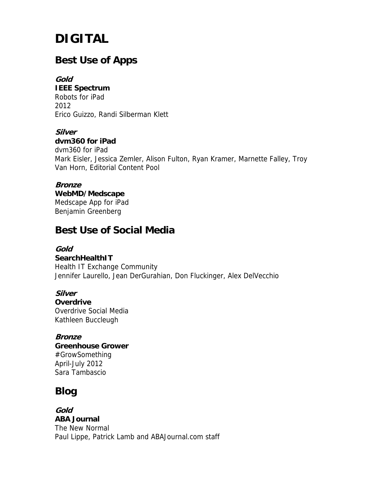# **DIGITAL**

# **Best Use of Apps**

**Gold IEEE Spectrum** Robots for iPad 2012 Erico Guizzo, Randi Silberman Klett

**Silver dvm360 for iPad** dvm360 for iPad Mark Eisler, Jessica Zemler, Alison Fulton, Ryan Kramer, Marnette Falley, Troy Van Horn, Editorial Content Pool

#### **Bronze WebMD/Medscape** Medscape App for iPad Benjamin Greenberg

# **Best Use of Social Media**

#### **Gold**

**SearchHealthIT** Health IT Exchange Community Jennifer Laurello, Jean DerGurahian, Don Fluckinger, Alex DelVecchio

**Silver Overdrive** Overdrive Social Media Kathleen Buccleugh

**Bronze** 

**Greenhouse Grower** #GrowSomething April-July 2012 Sara Tambascio

# **Blog**

**Gold ABA Journal** The New Normal Paul Lippe, Patrick Lamb and ABAJournal.com staff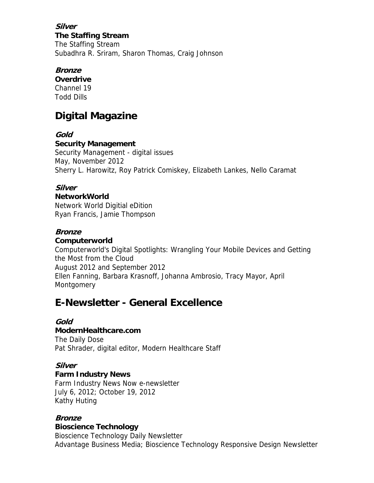## **Silver**

**The Staffing Stream** The Staffing Stream Subadhra R. Sriram, Sharon Thomas, Craig Johnson

## **Bronze**

**Overdrive** Channel 19 Todd Dills

# **Digital Magazine**

### **Gold**

#### **Security Management**

Security Management - digital issues May, November 2012 Sherry L. Harowitz, Roy Patrick Comiskey, Elizabeth Lankes, Nello Caramat

### **Silver**

#### **NetworkWorld**

Network World Digitial eDition Ryan Francis, Jamie Thompson

#### **Bronze**

#### **Computerworld**

Computerworld's Digital Spotlights: Wrangling Your Mobile Devices and Getting the Most from the Cloud August 2012 and September 2012 Ellen Fanning, Barbara Krasnoff, Johanna Ambrosio, Tracy Mayor, April **Montgomery** 

# **E-Newsletter - General Excellence**

## **Gold**

#### **ModernHealthcare.com**

The Daily Dose Pat Shrader, digital editor, Modern Healthcare Staff

#### **Silver**

## **Farm Industry News**

Farm Industry News Now e-newsletter July 6, 2012; October 19, 2012 Kathy Huting

#### **Bronze**

#### **Bioscience Technology**

Bioscience Technology Daily Newsletter Advantage Business Media; Bioscience Technology Responsive Design Newsletter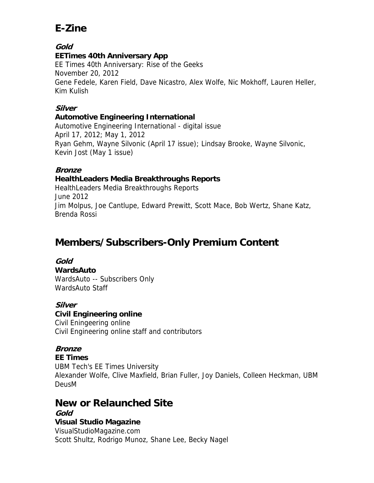# **E-Zine**

**Gold** 

### **EETimes 40th Anniversary App**

EE Times 40th Anniversary: Rise of the Geeks November 20, 2012 Gene Fedele, Karen Field, Dave Nicastro, Alex Wolfe, Nic Mokhoff, Lauren Heller, Kim Kulish

## **Silver**

#### **Automotive Engineering International**

Automotive Engineering International - digital issue April 17, 2012; May 1, 2012 Ryan Gehm, Wayne Silvonic (April 17 issue); Lindsay Brooke, Wayne Silvonic, Kevin Jost (May 1 issue)

### **Bronze**

### **HealthLeaders Media Breakthroughs Reports**

HealthLeaders Media Breakthroughs Reports June 2012 Jim Molpus, Joe Cantlupe, Edward Prewitt, Scott Mace, Bob Wertz, Shane Katz, Brenda Rossi

# **Members/Subscribers-Only Premium Content**

**Gold WardsAuto** WardsAuto -- Subscribers Only WardsAuto Staff

#### **Silver**

#### **Civil Engineering online**

Civil Eningeering online Civil Engineering online staff and contributors

#### **Bronze**

#### **EE Times** UBM Tech's EE Times University Alexander Wolfe, Clive Maxfield, Brian Fuller, Joy Daniels, Colleen Heckman, UBM DeusM

## **New or Relaunched Site**

#### **Gold Visual Studio Magazine** VisualStudioMagazine.com Scott Shultz, Rodrigo Munoz, Shane Lee, Becky Nagel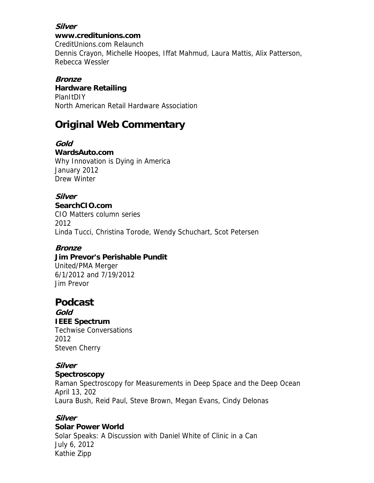# **Silver**

**www.creditunions.com** CreditUnions.com Relaunch Dennis Crayon, Michelle Hoopes, Iffat Mahmud, Laura Mattis, Alix Patterson, Rebecca Wessler

#### **Bronze Hardware Retailing PlanItDIY** North American Retail Hardware Association

# **Original Web Commentary**

**Gold WardsAuto.com** Why Innovation is Dying in America January 2012 Drew Winter

**Silver SearchCIO.com** CIO Matters column series 2012 Linda Tucci, Christina Torode, Wendy Schuchart, Scot Petersen

#### **Bronze**

**Jim Prevor's Perishable Pundit** United/PMA Merger 6/1/2012 and 7/19/2012 Jim Prevor

## **Podcast**

**Gold IEEE Spectrum** Techwise Conversations 2012 Steven Cherry

#### **Silver**

#### **Spectroscopy**

Raman Spectroscopy for Measurements in Deep Space and the Deep Ocean April 13, 202 Laura Bush, Reid Paul, Steve Brown, Megan Evans, Cindy Delonas

#### **Silver**

#### **Solar Power World**

Solar Speaks: A Discussion with Daniel White of Clinic in a Can July 6, 2012 Kathie Zipp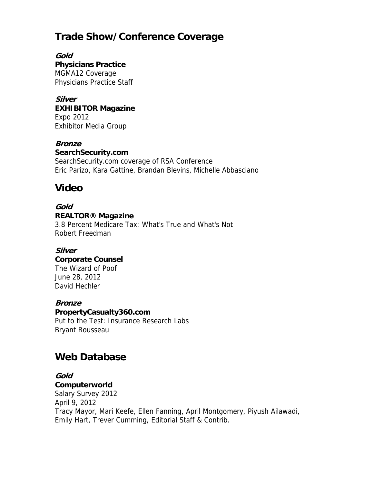# **Trade Show/Conference Coverage**

**Gold Physicians Practice** MGMA12 Coverage Physicians Practice Staff

**Silver EXHIBITOR Magazine** Expo 2012 Exhibitor Media Group

#### **Bronze**

**SearchSecurity.com** SearchSecurity.com coverage of RSA Conference Eric Parizo, Kara Gattine, Brandan Blevins, Michelle Abbasciano

# **Video**

#### **Gold REALTOR® Magazine**

3.8 Percent Medicare Tax: What's True and What's Not Robert Freedman

## **Silver**

#### **Corporate Counsel**

The Wizard of Poof June 28, 2012 David Hechler

#### **Bronze**

**PropertyCasualty360.com**

Put to the Test: Insurance Research Labs Bryant Rousseau

# **Web Database**

#### **Gold Computerworld**

Salary Survey 2012 April 9, 2012 Tracy Mayor, Mari Keefe, Ellen Fanning, April Montgomery, Piyush Ailawadi, Emily Hart, Trever Cumming, Editorial Staff & Contrib.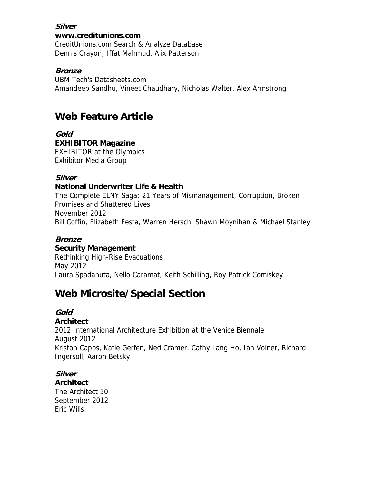#### **Silver**

#### **www.creditunions.com**

CreditUnions.com Search & Analyze Database Dennis Crayon, Iffat Mahmud, Alix Patterson

#### **Bronze**

UBM Tech's Datasheets.com Amandeep Sandhu, Vineet Chaudhary, Nicholas Walter, Alex Armstrong

# **Web Feature Article**

**Gold EXHIBITOR Magazine** EXHIBITOR at the Olympics Exhibitor Media Group

### **Silver**

#### **National Underwriter Life & Health**

The Complete ELNY Saga: 21 Years of Mismanagement, Corruption, Broken Promises and Shattered Lives November 2012 Bill Coffin, Elizabeth Festa, Warren Hersch, Shawn Moynihan & Michael Stanley

## **Bronze**

#### **Security Management**

Rethinking High-Rise Evacuations May 2012 Laura Spadanuta, Nello Caramat, Keith Schilling, Roy Patrick Comiskey

# **Web Microsite/Special Section**

#### **Gold**

#### **Architect**

2012 International Architecture Exhibition at the Venice Biennale August 2012 Kriston Capps, Katie Gerfen, Ned Cramer, Cathy Lang Ho, Ian Volner, Richard Ingersoll, Aaron Betsky

## **Silver**

#### **Architect**

The Architect 50 September 2012 Eric Wills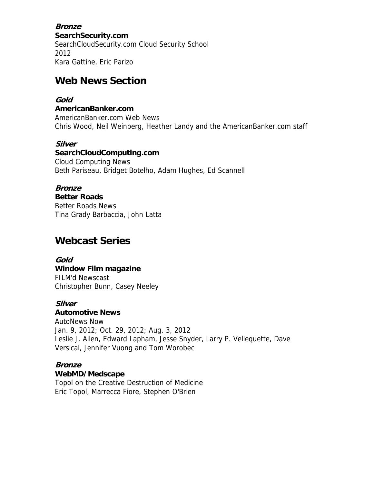**Bronze SearchSecurity.com** SearchCloudSecurity.com Cloud Security School 2012 Kara Gattine, Eric Parizo

## **Web News Section**

### **Gold**

**AmericanBanker.com** AmericanBanker.com Web News Chris Wood, Neil Weinberg, Heather Landy and the AmericanBanker.com staff

#### **Silver**

**SearchCloudComputing.com** Cloud Computing News Beth Pariseau, Bridget Botelho, Adam Hughes, Ed Scannell

## **Bronze**

**Better Roads** Better Roads News Tina Grady Barbaccia, John Latta

## **Webcast Series**

**Gold Window Film magazine** FILM'd Newscast Christopher Bunn, Casey Neeley

#### **Silver**

**Automotive News**

AutoNews Now Jan. 9, 2012; Oct. 29, 2012; Aug. 3, 2012 Leslie J. Allen, Edward Lapham, Jesse Snyder, Larry P. Vellequette, Dave Versical, Jennifer Vuong and Tom Worobec

#### **Bronze WebMD/Medscape**

Topol on the Creative Destruction of Medicine Eric Topol, Marrecca Fiore, Stephen O'Brien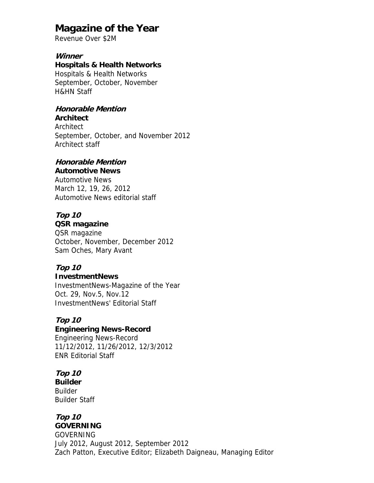## **Magazine of the Year**

Revenue Over \$2M

#### **Winner**

**Hospitals & Health Networks** Hospitals & Health Networks September, October, November H&HN Staff

#### **Honorable Mention**

**Architect**

Architect

September, October, and November 2012 Architect staff

## **Honorable Mention**

## **Automotive News**

Automotive News March 12, 19, 26, 2012 Automotive News editorial staff

## **Top 10**

**QSR magazine**

QSR magazine October, November, December 2012 Sam Oches, Mary Avant

#### **Top 10 InvestmentNews**

InvestmentNews-Magazine of the Year Oct. 29, Nov.5, Nov.12 InvestmentNews' Editorial Staff

#### **Top 10**

#### **Engineering News-Record** Engineering News-Record 11/12/2012, 11/26/2012, 12/3/2012

ENR Editorial Staff

#### **Top 10 Builder** Builder Builder Staff

#### **Top 10 GOVERNING**

GOVERNING July 2012, August 2012, September 2012 Zach Patton, Executive Editor; Elizabeth Daigneau, Managing Editor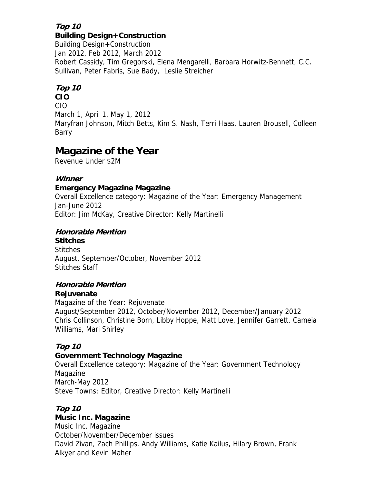#### **Top 10 Building Design+Construction**

Building Design+Construction Jan 2012, Feb 2012, March 2012 Robert Cassidy, Tim Gregorski, Elena Mengarelli, Barbara Horwitz-Bennett, C.C. Sullivan, Peter Fabris, Sue Bady, Leslie Streicher

## **Top 10**

**CIO** CIO March 1, April 1, May 1, 2012 Maryfran Johnson, Mitch Betts, Kim S. Nash, Terri Haas, Lauren Brousell, Colleen Barry

# **Magazine of the Year**

Revenue Under \$2M

## **Winner**

## **Emergency Magazine Magazine**

Overall Excellence category: Magazine of the Year: Emergency Management Jan-June 2012 Editor: Jim McKay, Creative Director: Kelly Martinelli

## **Honorable Mention**

**Stitches Stitches** August, September/October, November 2012 Stitches Staff

## **Honorable Mention**

## **Rejuvenate**

Magazine of the Year: Rejuvenate August/September 2012, October/November 2012, December/January 2012 Chris Collinson, Christine Born, Libby Hoppe, Matt Love, Jennifer Garrett, Cameia Williams, Mari Shirley

## **Top 10**

## **Government Technology Magazine**

Overall Excellence category: Magazine of the Year: Government Technology Magazine March-May 2012 Steve Towns: Editor, Creative Director: Kelly Martinelli

## **Top 10**

## **Music Inc. Magazine**

Music Inc. Magazine October/November/December issues David Zivan, Zach Phillips, Andy Williams, Katie Kailus, Hilary Brown, Frank Alkyer and Kevin Maher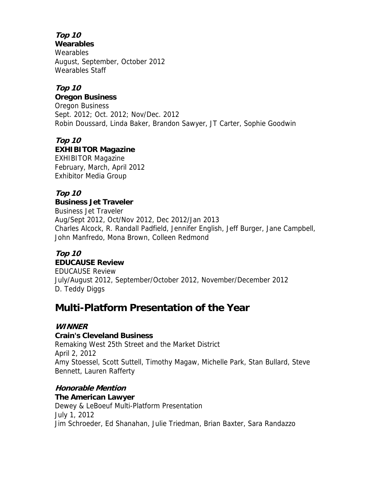**Top 10** 

**Wearables**

**Wearables** August, September, October 2012 Wearables Staff

## **Top 10**

**Oregon Business**

Oregon Business Sept. 2012; Oct. 2012; Nov/Dec. 2012 Robin Doussard, Linda Baker, Brandon Sawyer, JT Carter, Sophie Goodwin

**Top 10 EXHIBITOR Magazine** EXHIBITOR Magazine February, March, April 2012 Exhibitor Media Group

## **Top 10**

**Business Jet Traveler** Business Jet Traveler Aug/Sept 2012, Oct/Nov 2012, Dec 2012/Jan 2013 Charles Alcock, R. Randall Padfield, Jennifer English, Jeff Burger, Jane Campbell, John Manfredo, Mona Brown, Colleen Redmond

## **Top 10 EDUCAUSE Review**

EDUCAUSE Review July/August 2012, September/October 2012, November/December 2012 D. Teddy Diggs

# **Multi-Platform Presentation of the Year**

## **WINNER**

## **Crain's Cleveland Business**

Remaking West 25th Street and the Market District April 2, 2012 Amy Stoessel, Scott Suttell, Timothy Magaw, Michelle Park, Stan Bullard, Steve Bennett, Lauren Rafferty

## **Honorable Mention**

#### **The American Lawyer** Dewey & LeBoeuf Multi-Platform Presentation July 1, 2012 Jim Schroeder, Ed Shanahan, Julie Triedman, Brian Baxter, Sara Randazzo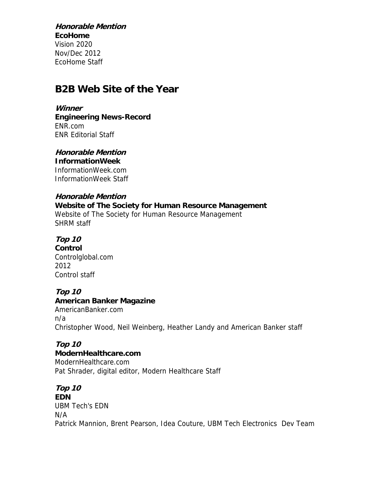**Honorable Mention EcoHome** Vision 2020 Nov/Dec 2012 EcoHome Staff

## **B2B Web Site of the Year**

**Winner** 

**Engineering News-Record** ENR.com ENR Editorial Staff

**Honorable Mention InformationWeek**

InformationWeek.com InformationWeek Staff

### **Honorable Mention**

**Website of The Society for Human Resource Management** Website of The Society for Human Resource Management SHRM staff

**Top 10** 

**Control** Controlglobal.com 2012 Control staff

#### **Top 10**

**American Banker Magazine** AmericanBanker.com

n/a Christopher Wood, Neil Weinberg, Heather Landy and American Banker staff

# **Top 10**

**ModernHealthcare.com** ModernHealthcare.com Pat Shrader, digital editor, Modern Healthcare Staff

**Top 10 EDN** UBM Tech's EDN N/A Patrick Mannion, Brent Pearson, Idea Couture, UBM Tech Electronics Dev Team